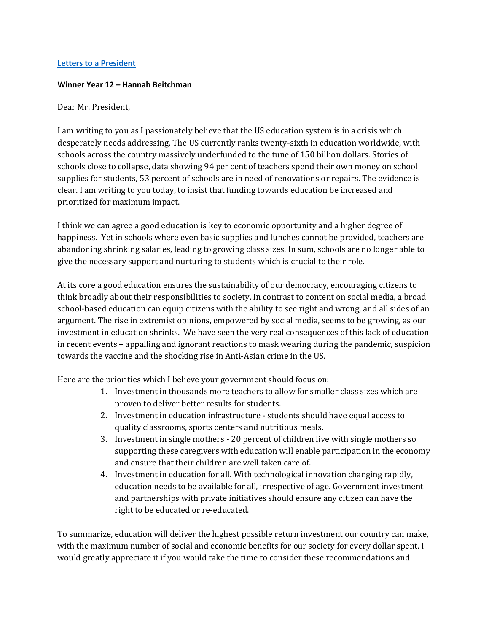## **Letters to [a President](https://www.alc.manchester.ac.uk/connect/schools/outreach/as-competition/)**

## **Winner Year 12 – Hannah Beitchman**

## Dear Mr. President,

I am writing to you as I passionately believe that the US education system is in a crisis which desperately needs addressing. The US currently ranks twenty-sixth in education worldwide, with schools across the country massively underfunded to the tune of 150 billion dollars. Stories of schools close to collapse, data showing 94 per cent of teachers spend their own money on school supplies for students, 53 percent of schools are in need of renovations or repairs. The evidence is clear. I am writing to you today, to insist that funding towards education be increased and prioritized for maximum impact.

I think we can agree a good education is key to economic opportunity and a higher degree of happiness. Yet in schools where even basic supplies and lunches cannot be provided, teachers are abandoning shrinking salaries, leading to growing class sizes. In sum, schools are no longer able to give the necessary support and nurturing to students which is crucial to their role.

At its core a good education ensures the sustainability of our democracy, encouraging citizens to think broadly about their responsibilities to society. In contrast to content on social media, a broad school-based education can equip citizens with the ability to see right and wrong, and all sides of an argument. The rise in extremist opinions, empowered by social media, seems to be growing, as our investment in education shrinks. We have seen the very real consequences of this lack of education in recent events – appalling and ignorant reactions to mask wearing during the pandemic, suspicion towards the vaccine and the shocking rise in Anti-Asian crime in the US.

Here are the priorities which I believe your government should focus on:

- 1. Investment in thousands more teachers to allow for smaller class sizes which are proven to deliver better results for students.
- 2. Investment in education infrastructure students should have equal access to quality classrooms, sports centers and nutritious meals.
- 3. Investment in single mothers 20 percent of children live with single mothers so supporting these caregivers with education will enable participation in the economy and ensure that their children are well taken care of.
- 4. Investment in education for all. With technological innovation changing rapidly, education needs to be available for all, irrespective of age. Government investment and partnerships with private initiatives should ensure any citizen can have the right to be educated or re-educated.

To summarize, education will deliver the highest possible return investment our country can make, with the maximum number of social and economic benefits for our society for every dollar spent. I would greatly appreciate it if you would take the time to consider these recommendations and